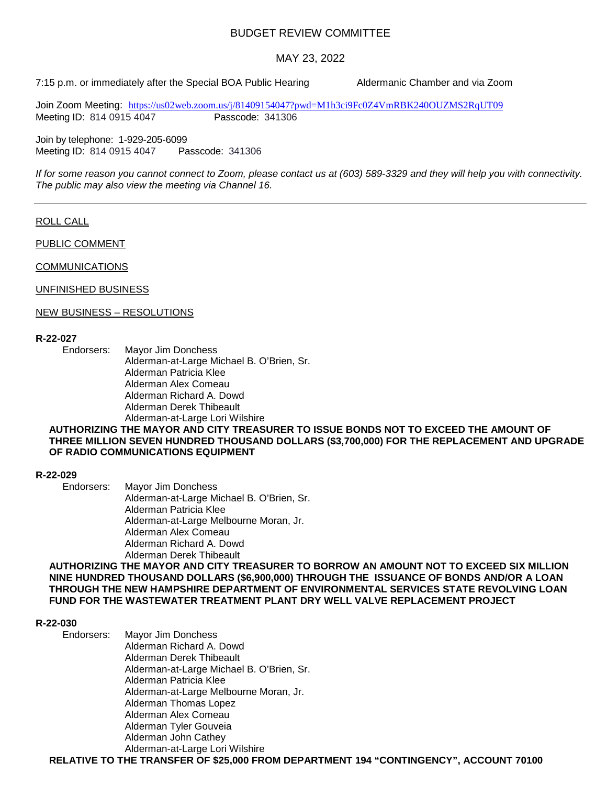# BUDGET REVIEW COMMITTEE

# MAY 23, 2022

7:15 p.m. or immediately after the Special BOA Public Hearing Aldermanic Chamber and via Zoom

Join Zoom Meeting: <https://us02web.zoom.us/j/81409154047?pwd=M1h3ci9Fc0Z4VmRBK240OUZMS2RqUT09><br>Meeting ID: 814 0915 4047<br>Rasscode: 341306 Meeting ID: 814 0915 4047

Join by telephone: 1-929-205-6099 Meeting ID: 814 0915 4047 Passcode: 341306

*If for some reason you cannot connect to Zoom, please contact us at (603) 589-3329 and they will help you with connectivity. The public may also view the meeting via Channel 16.*

## ROLL CALL

PUBLIC COMMENT

COMMUNICATIONS

#### UNFINISHED BUSINESS

### NEW BUSINESS – RESOLUTIONS

### **R-22-027**

Endorsers: Mayor Jim Donchess Alderman-at-Large Michael B. O'Brien, Sr. Alderman Patricia Klee Alderman Alex Comeau Alderman Richard A. Dowd Alderman Derek Thibeault Alderman-at-Large Lori Wilshire

## **AUTHORIZING THE MAYOR AND CITY TREASURER TO ISSUE BONDS NOT TO EXCEED THE AMOUNT OF THREE MILLION SEVEN HUNDRED THOUSAND DOLLARS (\$3,700,000) FOR THE REPLACEMENT AND UPGRADE OF RADIO COMMUNICATIONS EQUIPMENT**

# **R-22-029**

Endorsers: Mayor Jim Donchess Alderman-at-Large Michael B. O'Brien, Sr. Alderman Patricia Klee Alderman-at-Large Melbourne Moran, Jr. Alderman Alex Comeau Alderman Richard A. Dowd Alderman Derek Thibeault

**AUTHORIZING THE MAYOR AND CITY TREASURER TO BORROW AN AMOUNT NOT TO EXCEED SIX MILLION NINE HUNDRED THOUSAND DOLLARS (\$6,900,000) THROUGH THE ISSUANCE OF BONDS AND/OR A LOAN THROUGH THE NEW HAMPSHIRE DEPARTMENT OF ENVIRONMENTAL SERVICES STATE REVOLVING LOAN FUND FOR THE WASTEWATER TREATMENT PLANT DRY WELL VALVE REPLACEMENT PROJECT**

# **R-22-030**

Mayor Jim Donchess Alderman Richard A. Dowd Alderman Derek Thibeault Alderman-at-Large Michael B. O'Brien, Sr. Alderman Patricia Klee Alderman-at-Large Melbourne Moran, Jr. Alderman Thomas Lopez Alderman Alex Comeau Alderman Tyler Gouveia Alderman John Cathey Alderman-at-Large Lori Wilshire

**RELATIVE TO THE TRANSFER OF \$25,000 FROM DEPARTMENT 194 "CONTINGENCY", ACCOUNT 70100**